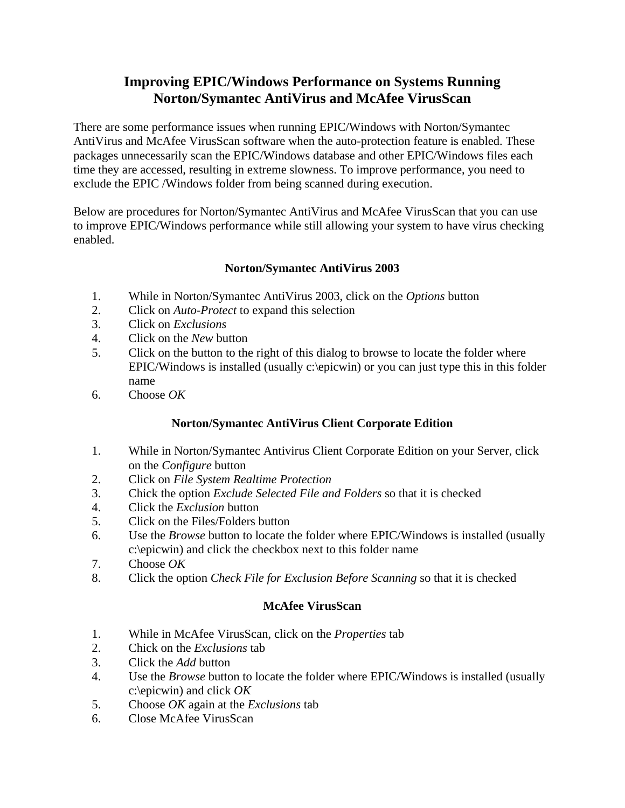## **Improving EPIC/Windows Performance on Systems Running Norton/Symantec AntiVirus and McAfee VirusScan**

There are some performance issues when running EPIC/Windows with Norton/Symantec AntiVirus and McAfee VirusScan software when the auto-protection feature is enabled. These packages unnecessarily scan the EPIC/Windows database and other EPIC/Windows files each time they are accessed, resulting in extreme slowness. To improve performance, you need to exclude the EPIC /Windows folder from being scanned during execution.

Below are procedures for Norton/Symantec AntiVirus and McAfee VirusScan that you can use to improve EPIC/Windows performance while still allowing your system to have virus checking enabled.

## **Norton/Symantec AntiVirus 2003**

- 1. While in Norton/Symantec AntiVirus 2003, click on the *Options* button
- 2. Click on *Auto-Protect* to expand this selection
- 3. Click on *Exclusions*
- 4. Click on the *New* button
- 5. Click on the button to the right of this dialog to browse to locate the folder where EPIC/Windows is installed (usually c:\epicwin) or you can just type this in this folder name
- 6. Choose *OK*

## **Norton/Symantec AntiVirus Client Corporate Edition**

- 1. While in Norton/Symantec Antivirus Client Corporate Edition on your Server, click on the *Configure* button
- 2. Click on *File System Realtime Protection*
- 3. Chick the option *Exclude Selected File and Folders* so that it is checked
- 4. Click the *Exclusion* button
- 5. Click on the Files/Folders button
- 6. Use the *Browse* button to locate the folder where EPIC/Windows is installed (usually c:\epicwin) and click the checkbox next to this folder name
- 7. Choose *OK*
- 8. Click the option *Check File for Exclusion Before Scanning* so that it is checked

## **McAfee VirusScan**

- 1. While in McAfee VirusScan, click on the *Properties* tab
- 2. Chick on the *Exclusions* tab
- 3. Click the *Add* button
- 4. Use the *Browse* button to locate the folder where EPIC/Windows is installed (usually c:\epicwin) and click *OK*
- 5. Choose *OK* again at the *Exclusions* tab
- 6. Close McAfee VirusScan